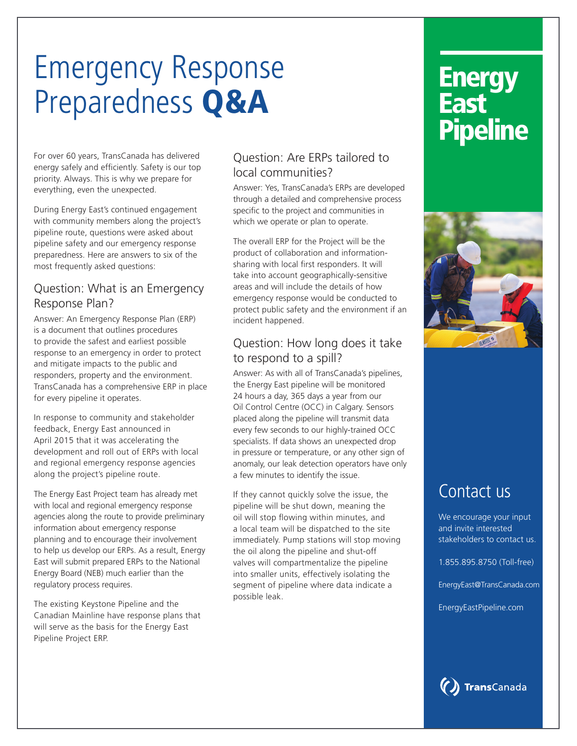# Emergency Response Preparedness Q&A

For over 60 years, TransCanada has delivered energy safely and efficiently. Safety is our top priority. Always. This is why we prepare for everything, even the unexpected.

During Energy East's continued engagement with community members along the project's pipeline route, questions were asked about pipeline safety and our emergency response preparedness. Here are answers to six of the most frequently asked questions:

### Question: What is an Emergency Response Plan?

Answer: An Emergency Response Plan (ERP) is a document that outlines procedures to provide the safest and earliest possible response to an emergency in order to protect and mitigate impacts to the public and responders, property and the environment. TransCanada has a comprehensive ERP in place for every pipeline it operates.

In response to community and stakeholder feedback, Energy East announced in April 2015 that it was accelerating the development and roll out of ERPs with local and regional emergency response agencies along the project's pipeline route.

The Energy East Project team has already met with local and regional emergency response agencies along the route to provide preliminary information about emergency response planning and to encourage their involvement to help us develop our ERPs. As a result, Energy East will submit prepared ERPs to the National Energy Board (NEB) much earlier than the regulatory process requires.

The existing Keystone Pipeline and the Canadian Mainline have response plans that will serve as the basis for the Energy East Pipeline Project ERP.

### Question: Are ERPs tailored to local communities?

Answer: Yes, TransCanada's ERPs are developed through a detailed and comprehensive process specific to the project and communities in which we operate or plan to operate.

The overall ERP for the Project will be the product of collaboration and informationsharing with local first responders. It will take into account geographically-sensitive areas and will include the details of how emergency response would be conducted to protect public safety and the environment if an incident happened.

### Question: How long does it take to respond to a spill?

Answer: As with all of TransCanada's pipelines, the Energy East pipeline will be monitored 24 hours a day, 365 days a year from our Oil Control Centre (OCC) in Calgary. Sensors placed along the pipeline will transmit data every few seconds to our highly-trained OCC specialists. If data shows an unexpected drop in pressure or temperature, or any other sign of anomaly, our leak detection operators have only a few minutes to identify the issue.

If they cannot quickly solve the issue, the pipeline will be shut down, meaning the oil will stop flowing within minutes, and a local team will be dispatched to the site immediately. Pump stations will stop moving the oil along the pipeline and shut-off valves will compartmentalize the pipeline into smaller units, effectively isolating the segment of pipeline where data indicate a possible leak.

## **Energy** East<sup>1</sup> **Pipeline**



### Contact us

We encourage your input and invite interested stakeholders to contact us.

1.855.895.8750 (Toll-free)

EnergyEast@TransCanada.com

EnergyEastPipeline.com